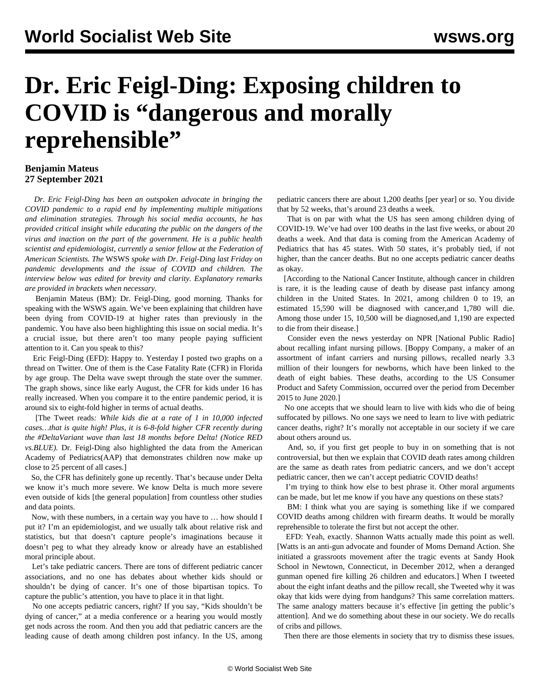## **Dr. Eric Feigl-Ding: Exposing children to COVID is "dangerous and morally reprehensible"**

## **Benjamin Mateus 27 September 2021**

 *Dr. Eric Feigl-Ding has been an outspoken advocate in bringing the COVID pandemic to a rapid end by implementing multiple mitigations and elimination strategies. Through his social media accounts, he has provided critical insight while educating the public on the dangers of the virus and inaction on the part of the government. He is a public health scientist and epidemiologist, currently a senior fellow at the Federation of American Scientists. The* WSWS *spoke with Dr. Feigl-Ding last Friday on pandemic developments and the issue of COVID and children. The interview below was edited for brevity and clarity. Explanatory remarks are provided in brackets when necessary.*

 Benjamin Mateus (BM): Dr. Feigl-Ding, good morning. Thanks for speaking with the WSWS again. We've been explaining that [children](/en/articles/2021/09/22/chil-s22.html) have been dying from COVID-19 at higher rates than previously in the pandemic. You have also been highlighting this issue on [social media.](https://twitter.com/DrEricDing/status/1441145721797812234) It's a crucial issue, but there aren't too many people paying sufficient attention to it. Can you speak to this?

 Eric Feigl-Ding (EFD): Happy to. Yesterday I posted two graphs on a thread on Twitter. One of them is the Case Fatality Rate (CFR) in Florida by age group. The Delta wave swept through the state over the summer. The graph shows, since like early August, the CFR for kids under 16 has really increased. When you compare it to the entire pandemic period, it is around six to eight-fold higher in terms of actual deaths.

 [The Tweet reads*: While kids die at a rate of 1 in 10,000 infected cases…that is quite high! Plus, it is 6-8-fold higher CFR recently during the #DeltaVariant wave than last 18 months before Delta! (Notice RED vs.BLUE).* Dr. Feigl-Ding also highlighted the data from the American Academy of Pediatrics(AAP) that demonstrates children now make up close to 25 percent of all cases.]

 So, the CFR has definitely gone up recently. That's because under Delta we know it's much more severe. We know Delta is much more severe even outside of kids [the general population] from countless other studies and data points.

 Now, with these numbers, in a certain way you have to … how should I put it? I'm an epidemiologist, and we usually talk about relative risk and statistics, but that doesn't capture people's imaginations because it doesn't peg to what they already know or already have an established moral principle about.

 Let's take pediatric cancers. There are tons of different pediatric cancer associations, and no one has debates about whether kids should or shouldn't be dying of cancer. It's one of those bipartisan topics. To capture the public's attention, you have to place it in that light.

 No one accepts pediatric cancers, right? If you say, "Kids shouldn't be dying of cancer," at a media conference or a hearing you would mostly get nods across the room. And then you add that pediatric cancers are the leading cause of death among children post infancy. In the US, among pediatric cancers there are about 1,200 deaths [per year] or so. You divide that by 52 weeks, that's around 23 deaths a week.

 That is on par with what the US has seen among children dying of COVID-19. We've had over 100 deaths in the last five weeks, or about 20 deaths a week. And that data is coming from the American Academy of Pediatrics that has 45 states. With 50 states, it's probably tied, if not higher, than the cancer deaths. But no one accepts pediatric cancer deaths as okay.

 [According to the National Cancer Institute, although cancer in children is rare, it is the leading cause of death by disease past infancy among children in the United States. In 2021, among children 0 to 19, an estimated 15,590 will be diagnosed with cancer,and 1,780 will die. Among those under 15, 10,500 will be diagnosed,and 1,190 are expected to die from their disease.]

 Consider even the news yesterday on NPR [National Public Radio] about recalling infant nursing pillows. [Boppy Company, a maker of an assortment of infant carriers and nursing pillows, recalled nearly 3.3 million of their loungers for newborns, which have been linked to the death of eight babies. These deaths, according to the US Consumer Product and Safety Commission, occurred over the period from December 2015 to June 2020.]

 No one accepts that we should learn to live with kids who die of being suffocated by pillows. No one says we need to learn to live with pediatric cancer deaths, right? It's morally not acceptable in our society if we care about others around us.

 And, so, if you first get people to buy in on something that is not controversial, but then we explain that COVID death rates among children are the same as death rates from pediatric cancers, and we don't accept pediatric cancer, then we can't accept pediatric COVID deaths!

 I'm trying to think how else to best phrase it. Other moral arguments can be made, but let me know if you have any questions on these stats?

 BM: I think what you are saying is something like if we compared COVID deaths among children with firearm deaths. It would be morally reprehensible to tolerate the first but not accept the other.

 EFD: Yeah, exactly. Shannon Watts actually made this point as well. [Watts is an anti-gun advocate and founder of Moms Demand Action. She initiated a grassroots movement after the tragic events at Sandy Hook School in Newtown, Connecticut, in December 2012, when a deranged gunman opened fire killing 26 children and educators.] When I tweeted about the eight infant deaths and the pillow recall, she Tweeted why it was okay that kids were dying from handguns? This same correlation matters. The same analogy matters because it's effective [in getting the public's attention]. And we do something about these in our society. We do recalls of cribs and pillows.

Then there are those elements in society that try to dismiss these issues.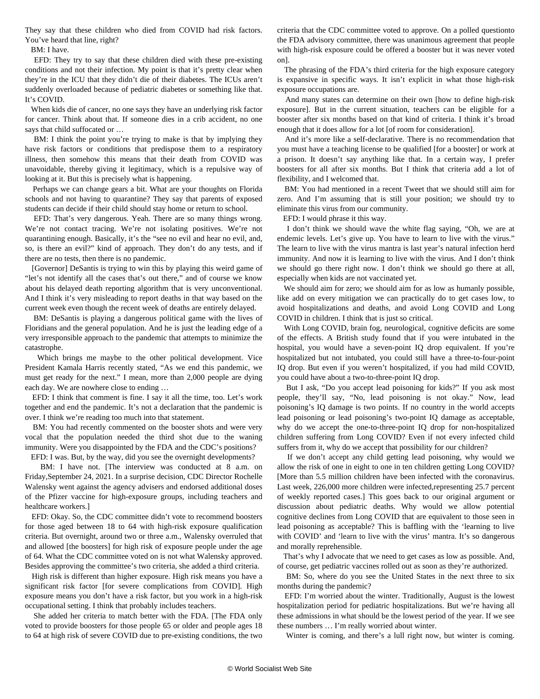They say that these children who died from COVID had risk factors. You've heard that line, right?

BM: I have.

 EFD: They try to say that these children died with these pre-existing conditions and not their infection. My point is that it's pretty clear when they're in the ICU that they didn't die of their diabetes. The ICUs aren't suddenly overloaded because of pediatric diabetes or something like that. It's COVID.

 When kids die of cancer, no one says they have an underlying risk factor for cancer. Think about that. If someone dies in a crib accident, no one says that child suffocated or …

BM: I think the point you're trying to make is that by implying they have risk factors or conditions that predispose them to a respiratory illness, then somehow this means that their death from COVID was unavoidable, thereby giving it legitimacy, which is a repulsive way of looking at it. But this is precisely what is happening.

 Perhaps we can change gears a bit. What are your thoughts on Florida schools and not having to quarantine? They say that parents of exposed students can decide if their child should stay home or return to school.

 EFD: That's very dangerous. Yeah. There are so many things wrong. We're not contact tracing. We're not isolating positives. We're not quarantining enough. Basically, it's the "see no evil and hear no evil, and, so, is there an evil?" kind of approach. They don't do any tests, and if there are no tests, then there is no pandemic.

 [Governor] DeSantis is trying to win this by playing this weird game of "let's not identify all the cases that's out there," and of course we know about his delayed death reporting algorithm that is very unconventional. And I think it's very misleading to report deaths in that way based on the current week even though the recent week of deaths are entirely delayed.

 BM: DeSantis is playing a dangerous political game with the lives of Floridians and the general population. And he is just the leading edge of a very irresponsible approach to the pandemic that attempts to minimize the catastrophe.

 Which brings me maybe to the other political development. Vice President Kamala Harris recently stated, "As we end this pandemic, we must get ready for the next." I mean, more than 2,000 people are dying each day. We are nowhere close to ending …

 EFD: I think that comment is fine. I say it all the time, too. Let's work together and end the pandemic. It's not a declaration that the pandemic is over. I think we're reading too much into that statement.

 BM: You had recently commented on the booster shots and were very vocal that the population needed the third shot due to the waning immunity. Were you disappointed by the FDA and the CDC's positions?

EFD: I was. But, by the way, did you see the overnight developments?

 BM: I have not. [The interview was conducted at 8 a.m. on Friday,September 24, 2021. In a surprise decision, CDC Director Rochelle Walensky went against the agency advisers and endorsed additional doses of the Pfizer vaccine for high-exposure groups, including teachers and healthcare workers.]

 EFD: Okay. So, the CDC committee didn't vote to recommend boosters for those aged between 18 to 64 with high-risk exposure qualification criteria. But overnight, around two or three a.m., Walensky overruled that and allowed [the boosters] for high risk of exposure people under the age of 64. What the CDC committee voted on is not what Walensky approved. Besides approving the committee's two criteria, she added a third criteria.

 High risk is different than higher exposure. High risk means you have a significant risk factor [for severe complications from COVID]. High exposure means you don't have a risk factor, but you work in a high-risk occupational setting. I think that probably includes teachers.

 She added her criteria to match better with the FDA. [The FDA only voted to provide boosters for those people 65 or older and people ages 18 to 64 at high risk of severe COVID due to pre-existing conditions, the two criteria that the CDC committee voted to approve. On a polled questionto the FDA advisory committee, there was unanimous agreement that people with high-risk exposure could be offered a booster but it was never voted on].

 The phrasing of the FDA's third criteria for the high exposure category is expansive in specific ways. It isn't explicit in what those high-risk exposure occupations are.

 And many states can determine on their own [how to define high-risk exposure]. But in the current situation, teachers can be eligible for a booster after six months based on that kind of criteria. I think it's broad enough that it does allow for a lot [of room for consideration].

 And it's more like a self-declarative. There is no recommendation that you must have a teaching license to be qualified [for a booster] or work at a prison. It doesn't say anything like that. In a certain way, I prefer boosters for all after six months. But I think that criteria add a lot of flexibility, and I welcomed that.

 BM: You had mentioned in a recent Tweet that we should still aim for zero. And I'm assuming that is still your position; we should try to eliminate this virus from our community.

EFD: I would phrase it this way.

 I don't think we should wave the white flag saying, "Oh, we are at endemic levels. Let's give up. You have to learn to live with the virus." The learn to live with the virus mantra is last year's natural infection herd immunity. And now it is learning to live with the virus. And I don't think we should go there right now. I don't think we should go there at all, especially when kids are not vaccinated yet.

 We should aim for zero; we should aim for as low as humanly possible, like add on every mitigation we can practically do to get cases low, to avoid hospitalizations and deaths, and avoid Long COVID and Long COVID in children. I think that is just so critical.

 With Long COVID, brain fog, neurological, cognitive deficits are some of the effects. A British study found that if you were intubated in the hospital, you would have a seven-point IQ drop equivalent. If you're hospitalized but not intubated, you could still have a three-to-four-point IQ drop. But even if you weren't hospitalized, if you had mild COVID, you could have about a two-to-three-point IQ drop.

 But I ask, "Do you accept lead poisoning for kids?" If you ask most people, they'll say, "No, lead poisoning is not okay." Now, lead poisoning's IQ damage is two points. If no country in the world accepts lead poisoning or lead poisoning's two-point IQ damage as acceptable, why do we accept the one-to-three-point IQ drop for non-hospitalized children suffering from Long COVID? Even if not every infected child suffers from it, why do we accept that possibility for our children?

 If we don't accept any child getting lead poisoning, why would we allow the risk of one in eight to one in ten children getting Long COVID? [More than 5.5 million children have been infected with the coronavirus. Last week, 226,000 more children were infected,representing 25.7 percent of weekly reported cases.] This goes back to our original argument or discussion about pediatric deaths. Why would we allow potential cognitive declines from Long COVID that are equivalent to those seen in lead poisoning as acceptable? This is baffling with the 'learning to live with COVID' and 'learn to live with the virus' mantra. It's so dangerous and morally reprehensible.

 That's why I advocate that we need to get cases as low as possible. And, of course, get pediatric vaccines rolled out as soon as they're authorized.

 BM: So, where do you see the United States in the next three to six months during the pandemic?

 EFD: I'm worried about the winter. Traditionally, August is the lowest hospitalization period for pediatric hospitalizations. But we're having all these admissions in what should be the lowest period of the year. If we see these numbers … I'm really worried about winter.

Winter is coming, and there's a lull right now, but winter is coming.